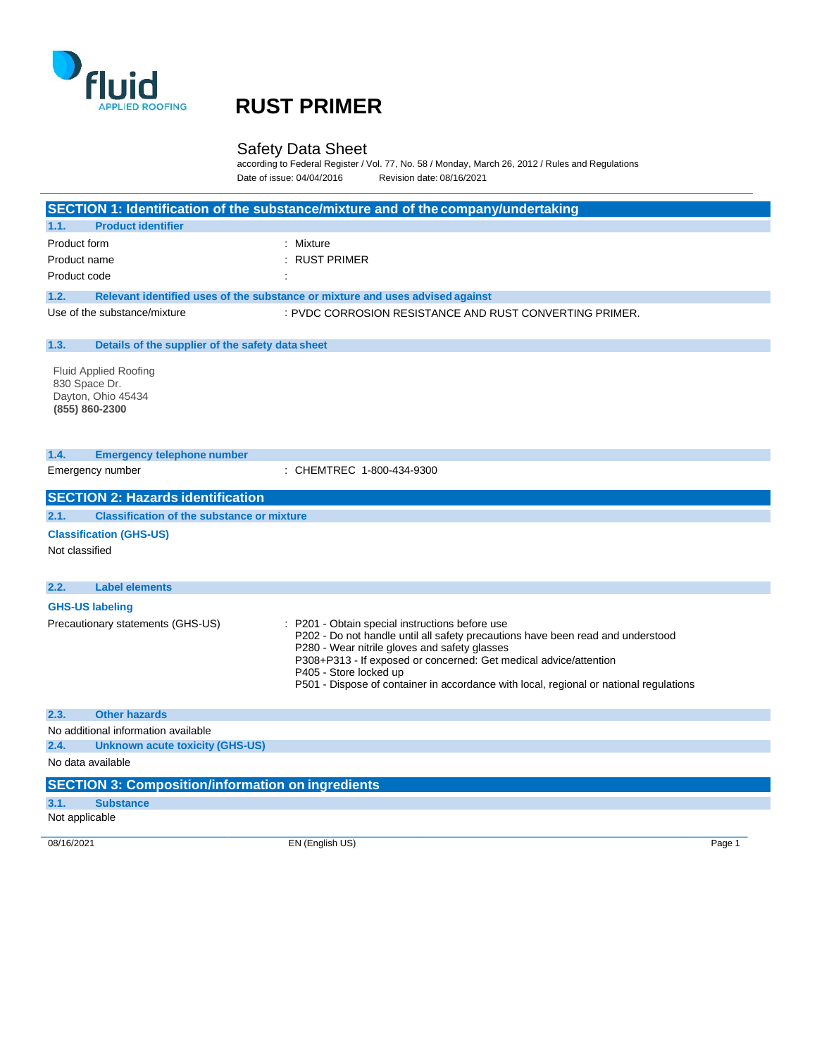

## Safety Data Sheet

according to Federal Register / Vol. 77, No. 58 / Monday, March 26, 2012 / Rules and Regulations Date of issue: 04/04/2016 Revision date: 08/16/2021

|                                                                                       | SECTION 1: Identification of the substance/mixture and of the company/undertaking                                                                                                                                                                                                                                                                                            |        |
|---------------------------------------------------------------------------------------|------------------------------------------------------------------------------------------------------------------------------------------------------------------------------------------------------------------------------------------------------------------------------------------------------------------------------------------------------------------------------|--------|
| <b>Product identifier</b><br>1.1.                                                     |                                                                                                                                                                                                                                                                                                                                                                              |        |
| Product form                                                                          | : Mixture                                                                                                                                                                                                                                                                                                                                                                    |        |
| Product name                                                                          | <b>RUST PRIMER</b>                                                                                                                                                                                                                                                                                                                                                           |        |
| Product code                                                                          |                                                                                                                                                                                                                                                                                                                                                                              |        |
| 1.2.                                                                                  | Relevant identified uses of the substance or mixture and uses advised against                                                                                                                                                                                                                                                                                                |        |
| Use of the substance/mixture                                                          | : PVDC CORROSION RESISTANCE AND RUST CONVERTING PRIMER.                                                                                                                                                                                                                                                                                                                      |        |
| 1.3.<br>Details of the supplier of the safety data sheet                              |                                                                                                                                                                                                                                                                                                                                                                              |        |
| <b>Fluid Applied Roofing</b><br>830 Space Dr.<br>Dayton, Ohio 45434<br>(855) 860-2300 |                                                                                                                                                                                                                                                                                                                                                                              |        |
| 1.4.<br><b>Emergency telephone number</b>                                             |                                                                                                                                                                                                                                                                                                                                                                              |        |
| Emergency number                                                                      | : CHEMTREC 1-800-434-9300                                                                                                                                                                                                                                                                                                                                                    |        |
| <b>Classification (GHS-US)</b><br>Not classified                                      |                                                                                                                                                                                                                                                                                                                                                                              |        |
| 2.2.<br><b>Label elements</b>                                                         |                                                                                                                                                                                                                                                                                                                                                                              |        |
| <b>GHS-US labeling</b>                                                                |                                                                                                                                                                                                                                                                                                                                                                              |        |
| Precautionary statements (GHS-US)                                                     | : P201 - Obtain special instructions before use<br>P202 - Do not handle until all safety precautions have been read and understood<br>P280 - Wear nitrile gloves and safety glasses<br>P308+P313 - If exposed or concerned: Get medical advice/attention<br>P405 - Store locked up<br>P501 - Dispose of container in accordance with local, regional or national regulations |        |
| 2.3.<br><b>Other hazards</b>                                                          |                                                                                                                                                                                                                                                                                                                                                                              |        |
| No additional information available                                                   |                                                                                                                                                                                                                                                                                                                                                                              |        |
| 2.4.<br><b>Unknown acute toxicity (GHS-US)</b>                                        |                                                                                                                                                                                                                                                                                                                                                                              |        |
| No data available                                                                     |                                                                                                                                                                                                                                                                                                                                                                              |        |
| <b>SECTION 3: Composition/information on ingredients</b>                              |                                                                                                                                                                                                                                                                                                                                                                              |        |
| 3.1.<br><b>Substance</b>                                                              |                                                                                                                                                                                                                                                                                                                                                                              |        |
| Not applicable                                                                        |                                                                                                                                                                                                                                                                                                                                                                              |        |
|                                                                                       |                                                                                                                                                                                                                                                                                                                                                                              |        |
| 08/16/2021                                                                            | EN (English US)                                                                                                                                                                                                                                                                                                                                                              | Page 1 |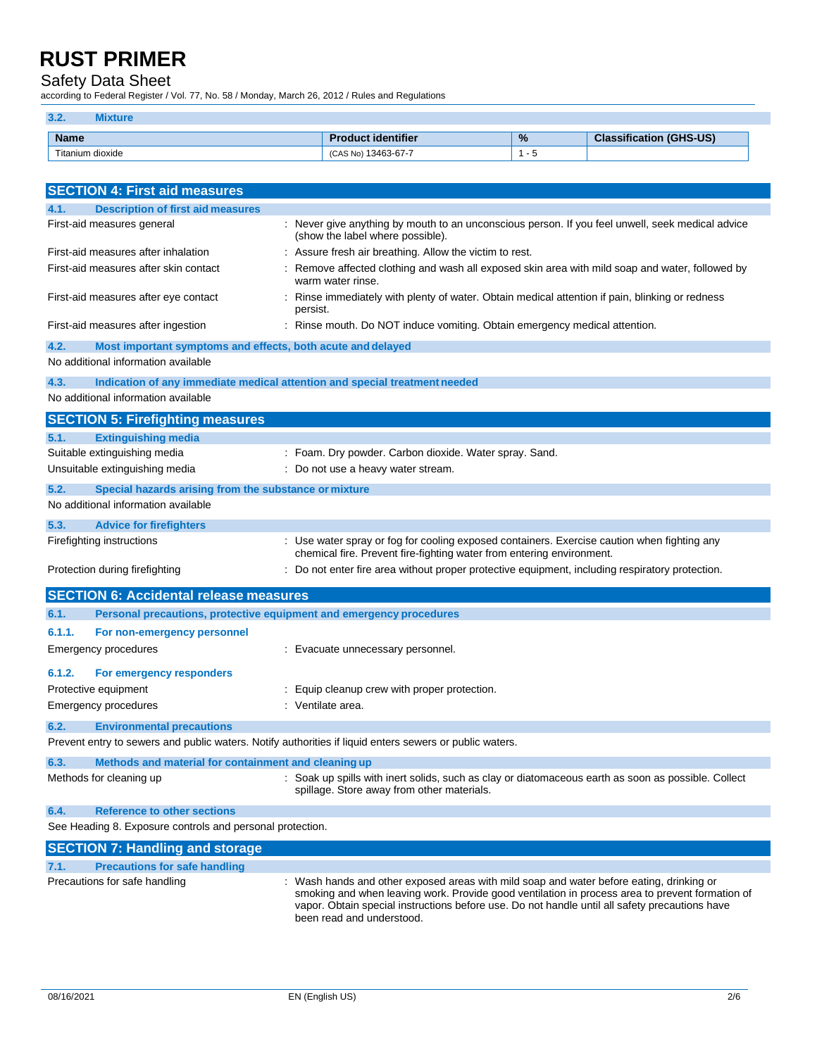## Safety Data Sheet

according to Federal Register / Vol. 77, No. 58 / Monday, March 26, 2012 / Rules and Regulations

| 3.2.             |                        |                  |                                    |
|------------------|------------------------|------------------|------------------------------------|
| <b>Name</b>      | duct identifier        | %                | $(GHS-US)$<br>Close:<br>sification |
| Titanium dioxide | 13463-67-7<br>(CAS No) | . . <del>.</del> |                                    |

| <b>SECTION 4: First aid measures</b>                                |                                                                                                                                                                      |
|---------------------------------------------------------------------|----------------------------------------------------------------------------------------------------------------------------------------------------------------------|
| 4.1.<br><b>Description of first aid measures</b>                    |                                                                                                                                                                      |
| First-aid measures general                                          | : Never give anything by mouth to an unconscious person. If you feel unwell, seek medical advice<br>(show the label where possible).                                 |
| First-aid measures after inhalation                                 | : Assure fresh air breathing. Allow the victim to rest.                                                                                                              |
| First-aid measures after skin contact                               | Remove affected clothing and wash all exposed skin area with mild soap and water, followed by<br>warm water rinse.                                                   |
| First-aid measures after eye contact                                | Rinse immediately with plenty of water. Obtain medical attention if pain, blinking or redness<br>persist.                                                            |
| First-aid measures after ingestion                                  | : Rinse mouth. Do NOT induce vomiting. Obtain emergency medical attention.                                                                                           |
| 4.2.<br>Most important symptoms and effects, both acute and delayed |                                                                                                                                                                      |
| No additional information available                                 |                                                                                                                                                                      |
| 4.3.                                                                | Indication of any immediate medical attention and special treatment needed                                                                                           |
| No additional information available                                 |                                                                                                                                                                      |
| <b>SECTION 5: Firefighting measures</b>                             |                                                                                                                                                                      |
| 5.1.<br><b>Extinguishing media</b>                                  |                                                                                                                                                                      |
| Suitable extinguishing media                                        | : Foam. Dry powder. Carbon dioxide. Water spray. Sand.                                                                                                               |
| Unsuitable extinguishing media                                      | : Do not use a heavy water stream.                                                                                                                                   |
| 5.2.<br>Special hazards arising from the substance or mixture       |                                                                                                                                                                      |
| No additional information available                                 |                                                                                                                                                                      |
| 5.3.<br><b>Advice for firefighters</b>                              |                                                                                                                                                                      |
| Firefighting instructions                                           | : Use water spray or fog for cooling exposed containers. Exercise caution when fighting any<br>chemical fire. Prevent fire-fighting water from entering environment. |
| Protection during firefighting                                      | : Do not enter fire area without proper protective equipment, including respiratory protection.                                                                      |
| <b>SECTION 6: Accidental release measures</b>                       |                                                                                                                                                                      |
| 6.1.                                                                | Personal precautions, protective equipment and emergency procedures                                                                                                  |
| 6.1.1.<br>For non-emergency personnel                               |                                                                                                                                                                      |
| Emergency procedures                                                | : Evacuate unnecessary personnel.                                                                                                                                    |
| 6.1.2.<br>For emergency responders                                  |                                                                                                                                                                      |
| Protective equipment                                                | : Equip cleanup crew with proper protection.                                                                                                                         |
| <b>Emergency procedures</b>                                         | : Ventilate area.                                                                                                                                                    |
| 6.2.<br><b>Environmental precautions</b>                            |                                                                                                                                                                      |
|                                                                     | Prevent entry to sewers and public waters. Notify authorities if liquid enters sewers or public waters.                                                              |
| Methods and material for containment and cleaning up<br>6.3.        |                                                                                                                                                                      |
| Methods for cleaning up                                             | : Soak up spills with inert solids, such as clay or diatomaceous earth as soon as possible. Collect<br>spillage. Store away from other materials.                    |
| <b>Reference to other sections</b><br>6.4.                          |                                                                                                                                                                      |
| See Heading 8. Exposure controls and personal protection.           |                                                                                                                                                                      |
| <b>SECTION 7: Handling and storage</b>                              |                                                                                                                                                                      |
| <b>Precautions for safe handling</b><br>7.1.                        |                                                                                                                                                                      |
| Precautions for safe handling                                       | : Wash hands and other exposed areas with mild soap and water before eating, drinking or                                                                             |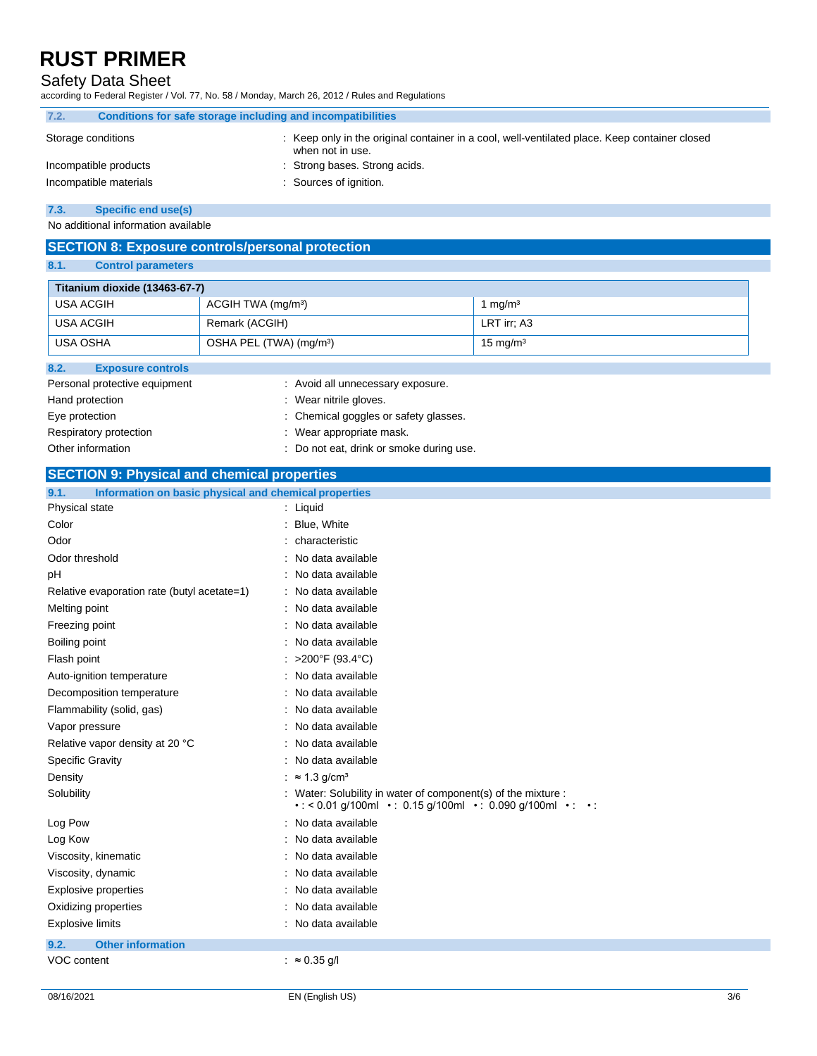### Safety Data Sheet

according to Federal Register / Vol. 77, No. 58 / Monday, March 26, 2012 / Rules and Regulations

| Conditions for safe storage including and incompatibilities                                                     |
|-----------------------------------------------------------------------------------------------------------------|
| Keep only in the original container in a cool, well-ventilated place. Keep container closed<br>when not in use. |
| : Strong bases. Strong acids.                                                                                   |
| : Sources of ignition.                                                                                          |
|                                                                                                                 |

### **7.3. Specific end use(s)**

No additional information available

## **SECTION 8: Exposure controls/personal protection**

**8.1. Control parameters**

| Titanium dioxide (13463-67-7)    |                                     |             |  |  |
|----------------------------------|-------------------------------------|-------------|--|--|
| USA ACGIH                        | ACGIH TWA (mg/m <sup>3</sup> )      | 1 mg/m $3$  |  |  |
| USA ACGIH                        | Remark (ACGIH)                      | LRT irr; A3 |  |  |
| USA OSHA                         | OSHA PEL (TWA) (mg/m <sup>3</sup> ) | 15 mg/m $3$ |  |  |
| 8.2.<br><b>Exposure controls</b> |                                     |             |  |  |

| Personal protective equipment | : Avoid all unnecessary exposure.        |
|-------------------------------|------------------------------------------|
| Hand protection               | : Wear nitrile gloves.                   |
| Eye protection                | : Chemical goggles or safety glasses.    |
| Respiratory protection        | : Wear appropriate mask.                 |
| Other information             | : Do not eat, drink or smoke during use. |

### **SECTION 9: Physical and chemical properties**

| 9.1.<br>Information on basic physical and chemical properties |                                                                                                                                                              |
|---------------------------------------------------------------|--------------------------------------------------------------------------------------------------------------------------------------------------------------|
| Physical state                                                | : Liquid                                                                                                                                                     |
| Color                                                         | : Blue, White                                                                                                                                                |
| Odor                                                          | characteristic                                                                                                                                               |
| Odor threshold                                                | No data available                                                                                                                                            |
| pH                                                            | No data available                                                                                                                                            |
| Relative evaporation rate (butyl acetate=1)                   | No data available                                                                                                                                            |
| Melting point                                                 | No data available                                                                                                                                            |
| Freezing point                                                | No data available                                                                                                                                            |
| Boiling point                                                 | No data available                                                                                                                                            |
| Flash point                                                   | : >200°F (93.4°C)                                                                                                                                            |
| Auto-ignition temperature                                     | No data available                                                                                                                                            |
| Decomposition temperature                                     | No data available                                                                                                                                            |
| Flammability (solid, gas)                                     | No data available                                                                                                                                            |
| Vapor pressure                                                | : No data available                                                                                                                                          |
| Relative vapor density at 20 °C                               | No data available                                                                                                                                            |
| <b>Specific Gravity</b>                                       | : No data available                                                                                                                                          |
| Density                                                       | : $\approx 1.3$ g/cm <sup>3</sup>                                                                                                                            |
| Solubility                                                    | : Water: Solubility in water of component(s) of the mixture :<br>$\cdot$ : < 0.01 g/100ml $\cdot$ : 0.15 g/100ml $\cdot$ : 0.090 g/100ml $\cdot$ : $\cdot$ : |
| Log Pow                                                       | No data available                                                                                                                                            |
| Log Kow                                                       | No data available                                                                                                                                            |
| Viscosity, kinematic                                          | No data available                                                                                                                                            |
| Viscosity, dynamic                                            | : No data available                                                                                                                                          |
| <b>Explosive properties</b>                                   | No data available                                                                                                                                            |
| Oxidizing properties                                          | : No data available                                                                                                                                          |
| <b>Explosive limits</b>                                       | : No data available                                                                                                                                          |
| <b>Other information</b><br>9.2.                              |                                                                                                                                                              |
| VOC content                                                   | : $\approx 0.35$ g/l                                                                                                                                         |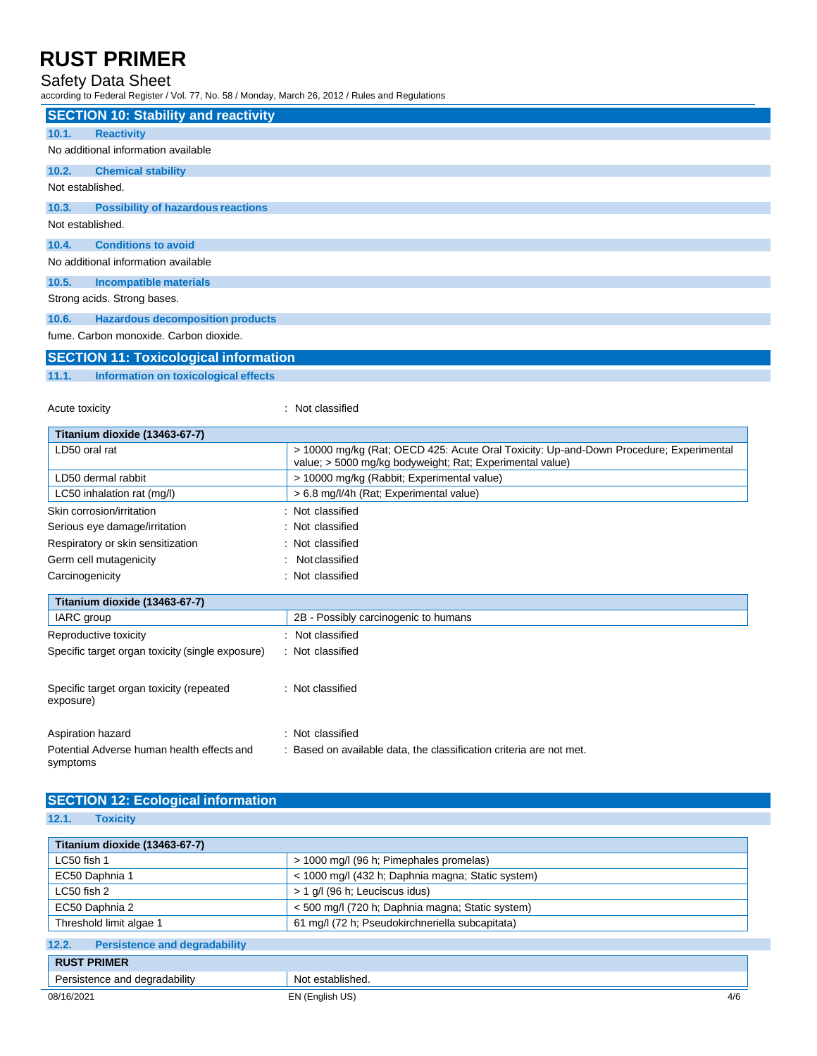## Safety Data Sheet

according to Federal Register / Vol. 77, No. 58 / Monday, March 26, 2012 / Rules and Regulations

|                  | <b>SECTION 10: Stability and reactivity</b> |
|------------------|---------------------------------------------|
| 10.1.            | <b>Reactivity</b>                           |
|                  | No additional information available         |
| 10.2.            | <b>Chemical stability</b>                   |
| Not established. |                                             |
| 10.3.            | <b>Possibility of hazardous reactions</b>   |
| Not established. |                                             |
| 10.4.            | <b>Conditions to avoid</b>                  |
|                  | No additional information available         |
| 10.5.            | Incompatible materials                      |
|                  | Strong acids. Strong bases.                 |
| 10.6.            | <b>Hazardous decomposition products</b>     |
|                  | fume. Carbon monoxide. Carbon dioxide.      |

## **SECTION 11: Toxicological information**

**11.1. Information on toxicological effects**

Acute toxicity **in the case of the CALIC CONTEX Not classified** : Not classified

| Titanium dioxide (13463-67-7)                    |                                                                                                                                                    |
|--------------------------------------------------|----------------------------------------------------------------------------------------------------------------------------------------------------|
| LD50 oral rat                                    | > 10000 mg/kg (Rat; OECD 425: Acute Oral Toxicity: Up-and-Down Procedure; Experimental<br>value; > 5000 mg/kg bodyweight; Rat; Experimental value) |
| LD50 dermal rabbit                               | > 10000 mg/kg (Rabbit; Experimental value)                                                                                                         |
| LC50 inhalation rat (mg/l)                       | > 6.8 mg/l/4h (Rat; Experimental value)                                                                                                            |
| Skin corrosion/irritation                        | : Not classified                                                                                                                                   |
| Serious eye damage/irritation                    | : Not classified                                                                                                                                   |
| Respiratory or skin sensitization                | : Not classified                                                                                                                                   |
| Germ cell mutagenicity                           | Not classified                                                                                                                                     |
| Carcinogenicity                                  | : Not classified                                                                                                                                   |
| Titanium dioxide (13463-67-7)                    |                                                                                                                                                    |
| IARC group                                       | 2B - Possibly carcinogenic to humans                                                                                                               |
| Reproductive toxicity                            | Not classified<br>÷.                                                                                                                               |
| Specific target organ toxicity (single exposure) | : Not classified                                                                                                                                   |

| Specific target organ toxicity (repeated<br>exposure) | : Not classified |  |
|-------------------------------------------------------|------------------|--|
| .                                                     |                  |  |

| Aspiration hazard                          | : Not classified                                                    |
|--------------------------------------------|---------------------------------------------------------------------|
| Potential Adverse human health effects and | : Based on available data, the classification criteria are not met. |
| symptoms                                   |                                                                     |

## **SECTION 12: Ecological information**

**12.1. Toxicity**

| Titanium dioxide (13463-67-7)                                              |                                                   |     |  |
|----------------------------------------------------------------------------|---------------------------------------------------|-----|--|
| > 1000 mg/l (96 h; Pimephales promelas)<br>LC50 fish 1                     |                                                   |     |  |
| EC50 Daphnia 1                                                             | < 1000 mg/l (432 h; Daphnia magna; Static system) |     |  |
| LC50 fish 2                                                                | > 1 g/l (96 h; Leuciscus idus)                    |     |  |
| < 500 mg/l (720 h; Daphnia magna; Static system)<br>EC50 Daphnia 2         |                                                   |     |  |
| 61 mg/l (72 h; Pseudokirchneriella subcapitata)<br>Threshold limit algae 1 |                                                   |     |  |
| 12.2.<br><b>Persistence and degradability</b>                              |                                                   |     |  |
| <b>RUST PRIMER</b>                                                         |                                                   |     |  |
| Persistence and degradability                                              | Not established.                                  |     |  |
| 08/16/2021                                                                 | EN (English US)                                   | 4/6 |  |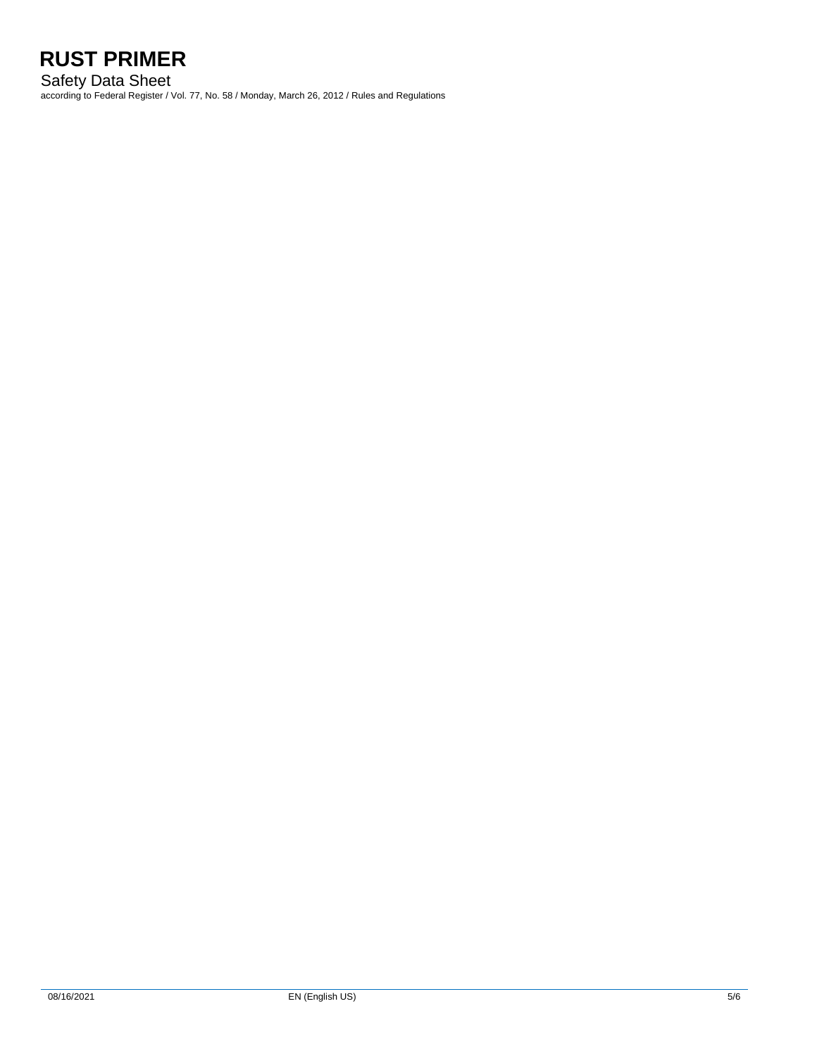Safety Data Sheet according to Federal Register / Vol. 77, No. 58 / Monday, March 26, 2012 / Rules and Regulations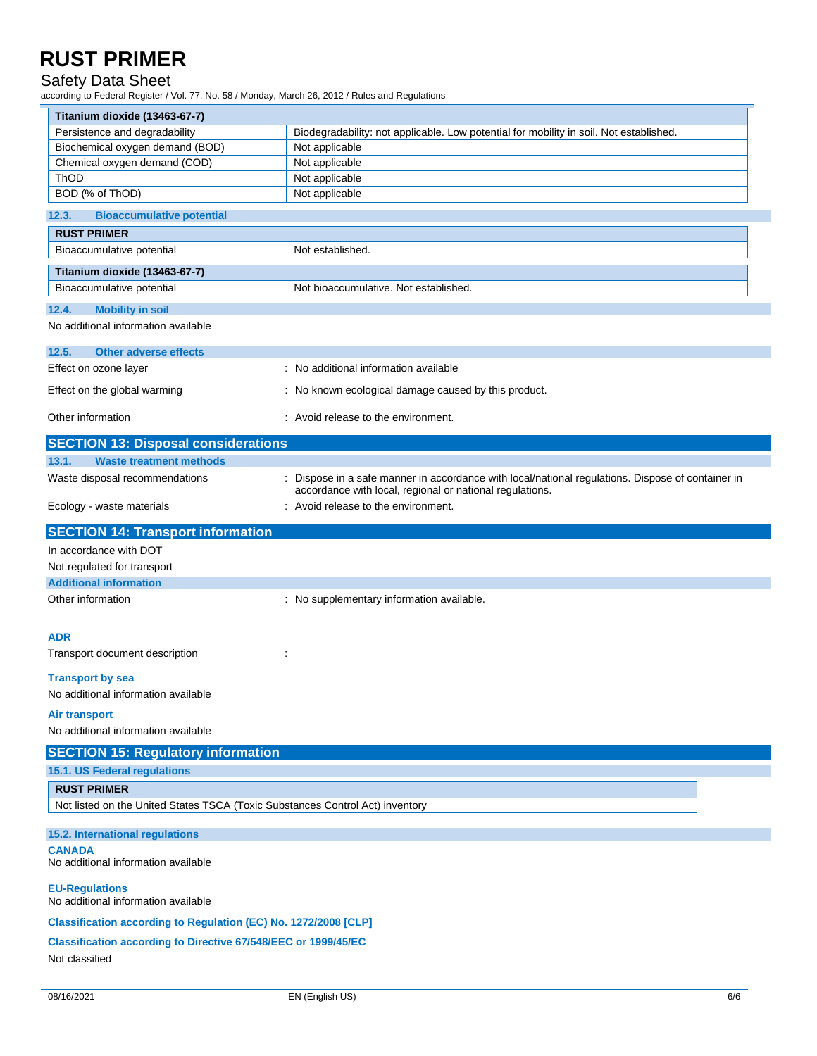### Safety Data Sheet

according to Federal Register / Vol. 77, No. 58 / Monday, March 26, 2012 / Rules and Regulations

| Titanium dioxide (13463-67-7)                                                 |                                                                                                 |  |  |  |  |
|-------------------------------------------------------------------------------|-------------------------------------------------------------------------------------------------|--|--|--|--|
| Persistence and degradability                                                 | Biodegradability: not applicable. Low potential for mobility in soil. Not established.          |  |  |  |  |
| Biochemical oxygen demand (BOD)                                               | Not applicable                                                                                  |  |  |  |  |
| Chemical oxygen demand (COD)                                                  | Not applicable                                                                                  |  |  |  |  |
| ThOD                                                                          | Not applicable                                                                                  |  |  |  |  |
| BOD (% of ThOD)                                                               | Not applicable                                                                                  |  |  |  |  |
| <b>Bioaccumulative potential</b><br>12.3.                                     |                                                                                                 |  |  |  |  |
| <b>RUST PRIMER</b>                                                            |                                                                                                 |  |  |  |  |
| Bioaccumulative potential                                                     | Not established.                                                                                |  |  |  |  |
| Titanium dioxide (13463-67-7)                                                 |                                                                                                 |  |  |  |  |
| Bioaccumulative potential                                                     | Not bioaccumulative. Not established.                                                           |  |  |  |  |
| 12.4.<br><b>Mobility in soil</b>                                              |                                                                                                 |  |  |  |  |
| No additional information available                                           |                                                                                                 |  |  |  |  |
| 12.5.<br><b>Other adverse effects</b>                                         |                                                                                                 |  |  |  |  |
| Effect on ozone layer                                                         | : No additional information available                                                           |  |  |  |  |
| Effect on the global warming                                                  | : No known ecological damage caused by this product.                                            |  |  |  |  |
| Other information                                                             | : Avoid release to the environment.                                                             |  |  |  |  |
| <b>SECTION 13: Disposal considerations</b>                                    |                                                                                                 |  |  |  |  |
| 13.1.<br><b>Waste treatment methods</b>                                       |                                                                                                 |  |  |  |  |
| Waste disposal recommendations                                                | Dispose in a safe manner in accordance with local/national regulations. Dispose of container in |  |  |  |  |
| Ecology - waste materials                                                     | accordance with local, regional or national regulations.<br>: Avoid release to the environment. |  |  |  |  |
| <b>SECTION 14: Transport information</b>                                      |                                                                                                 |  |  |  |  |
| In accordance with DOT                                                        |                                                                                                 |  |  |  |  |
| Not regulated for transport                                                   |                                                                                                 |  |  |  |  |
| <b>Additional information</b>                                                 |                                                                                                 |  |  |  |  |
| Other information                                                             | : No supplementary information available.                                                       |  |  |  |  |
|                                                                               |                                                                                                 |  |  |  |  |
| <b>ADR</b>                                                                    |                                                                                                 |  |  |  |  |
| Transport document description                                                |                                                                                                 |  |  |  |  |
| <b>Transport by sea</b>                                                       |                                                                                                 |  |  |  |  |
| No additional information available                                           |                                                                                                 |  |  |  |  |
| <b>Air transport</b>                                                          |                                                                                                 |  |  |  |  |
| No additional information available                                           |                                                                                                 |  |  |  |  |
| <b>SECTION 15: Regulatory information</b>                                     |                                                                                                 |  |  |  |  |
| 15.1. US Federal regulations                                                  |                                                                                                 |  |  |  |  |
| <b>RUST PRIMER</b>                                                            |                                                                                                 |  |  |  |  |
| Not listed on the United States TSCA (Toxic Substances Control Act) inventory |                                                                                                 |  |  |  |  |
|                                                                               |                                                                                                 |  |  |  |  |
| 15.2. International regulations                                               |                                                                                                 |  |  |  |  |
| <b>CANADA</b><br>No additional information available                          |                                                                                                 |  |  |  |  |
| <b>EU-Regulations</b><br>No additional information available                  |                                                                                                 |  |  |  |  |
| Classification according to Regulation (EC) No. 1272/2008 [CLP]               |                                                                                                 |  |  |  |  |
| <b>Classification according to Directive 67/548/EEC or 1999/45/EC</b>         |                                                                                                 |  |  |  |  |
| Not classified                                                                |                                                                                                 |  |  |  |  |
|                                                                               |                                                                                                 |  |  |  |  |